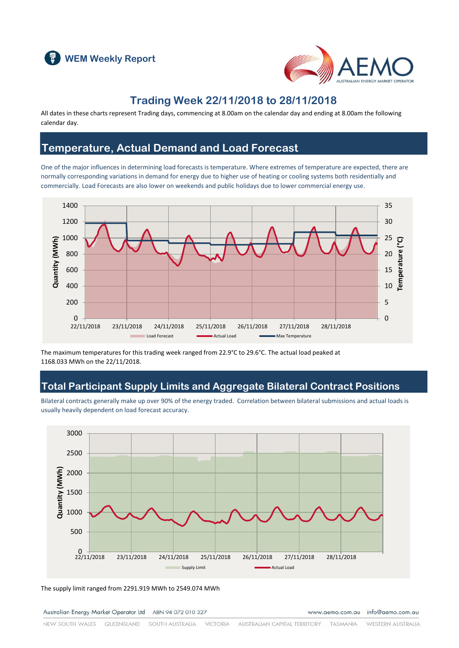



### **Trading Week 22/11/2018 to 28/11/2018**

All dates in these charts represent Trading days, commencing at 8.00am on the calendar day and ending at 8.00am the following calendar day.

#### **Temperature, Actual Demand and Load Forecast**

One of the major influences in determining load forecasts is temperature. Where extremes of temperature are expected, there are normally corresponding variations in demand for energy due to higher use of heating or cooling systems both residentially and commercially. Load Forecasts are also lower on weekends and public holidays due to lower commercial energy use.



The maximum temperatures for this trading week ranged from 22.9°C to 29.6°C. The actual load peaked at 1168.033 MWh on the 22/11/2018.

#### **Total Participant Supply Limits and Aggregate Bilateral Contract Positions**

Bilateral contracts generally make up over 90% of the energy traded. Correlation between bilateral submissions and actual loads is usually heavily dependent on load forecast accuracy.



The supply limit ranged from 2291.919 MWh to 2549.074 MWh

Australian Energy Market Operator Ltd ABN 94 072 010 327

www.aemo.com.au info@aemo.com.au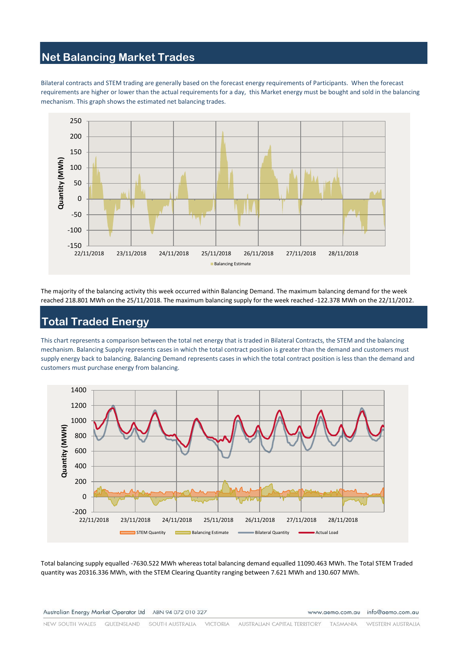### **Net Balancing Market Trades**

Bilateral contracts and STEM trading are generally based on the forecast energy requirements of Participants. When the forecast requirements are higher or lower than the actual requirements for a day, this Market energy must be bought and sold in the balancing mechanism. This graph shows the estimated net balancing trades.



The majority of the balancing activity this week occurred within Balancing Demand. The maximum balancing demand for the week reached 218.801 MWh on the 25/11/2018. The maximum balancing supply for the week reached -122.378 MWh on the 22/11/2012.

# **Total Traded Energy**

This chart represents a comparison between the total net energy that is traded in Bilateral Contracts, the STEM and the balancing mechanism. Balancing Supply represents cases in which the total contract position is greater than the demand and customers must supply energy back to balancing. Balancing Demand represents cases in which the total contract position is less than the demand and customers must purchase energy from balancing.



Total balancing supply equalled -7630.522 MWh whereas total balancing demand equalled 11090.463 MWh. The Total STEM Traded quantity was 20316.336 MWh, with the STEM Clearing Quantity ranging between 7.621 MWh and 130.607 MWh.